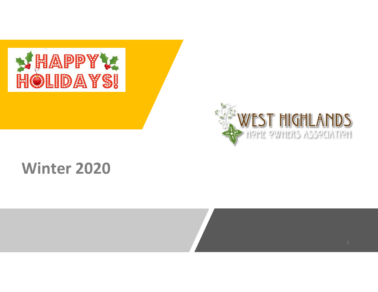



# **Winter 2020**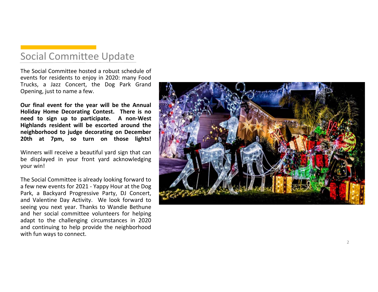### Social Committee Update

The Social Committee hosted <sup>a</sup> robust schedule of events for residents to enjoy in 2020: many Food Trucks, <sup>a</sup> Jazz Concert, the Dog Park Grand Opening, just to name <sup>a</sup> few.

**Our final event for the year will be the Annual Holiday Home Decorating Contest. There is no need to sign up to participate. A non‐West Highlands resident will be escorted around the neighborhood to judge decorating on December 20th at 7pm, so turn on those lights!**

Winners will receive <sup>a</sup> beautiful yard sign that can be displayed in your front yard acknowledging your win!

The Social Committee is already looking forward to <sup>a</sup> few new events for 2021 ‐ Yappy Hour at the Dog Park, <sup>a</sup> Backyard Progressive Party, DJ Concert, and Valentine Day Activity. We look forward to seeing you next year. Thanks to Wandie Bethune and her social committee volunteers for helping adapt to the challenging circumstances in 2020 and continuing to help provide the neighborhood with fun ways to connect.

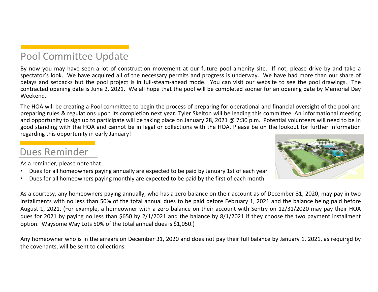### Pool Committee Update

By now you may have seen <sup>a</sup> lot of construction movement at our future pool amenity site. If not, please drive by and take <sup>a</sup> spectator's look. We have acquired all of the necessary permits and progress is underway. We have had more than our share of delays and setbacks but the pool project is in full‐steam‐ahead mode. You can visit our website to see the pool drawings. The contracted opening date is June 2, 2021. We all hope that the pool will be completed sooner for an opening date by Memorial Day Weekend.

The HOA will be creating <sup>a</sup> Pool committee to begin the process of preparing for operational and financial oversight of the pool and preparing rules & regulations upon its completion next year. Tyler Skelton will be leading this committee. An informational meeting and opportunity to sign up to participate will be taking place on January 28, 2021 @ 7:30 p.m. Potential volunteers will need to be in good standing with the HOA and cannot be in legal or collections with the HOA. Please be on the lookout for further information regarding this opportunity in early January!

### Dues Reminder



As <sup>a</sup> reminder, please note that:

- •Dues for all homeowners paying annually are expected to be paid by January 1st of each year
- •Dues for all homeowners paying monthly are expected to be paid by the first of each month

As <sup>a</sup> courtesy, any homeowners paying annually, who has <sup>a</sup> zero balance on their account as of December 31, 2020, may pay in two installments with no less than 50% of the total annual dues to be paid before February 1, 2021 and the balance being paid before August 1, 2021. (For example, <sup>a</sup> homeowner with <sup>a</sup> zero balance on their account with Sentry on 12/31/2020 may pay their HOA dues for 2021 by paying no less than \$650 by 2/1/2021 and the balance by 8/1/2021 if they choose the two payment installment option. Waysome Way Lots 50% of the total annual dues is \$1,050.)

Any homeowner who is in the arrears on December 31, 2020 and does not pay their full balance by January 1, 2021, as required by the covenants, will be sent to collections.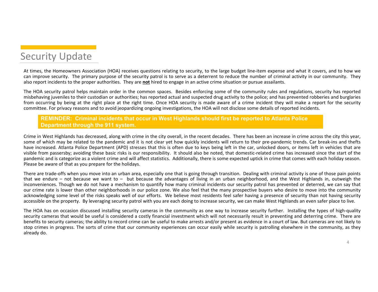

At times, the Homeowners Association (HOA) receives questions relating to security, to the large budget line‐item expense and what it covers, and to how we can improve security. The primary purpose of the security patrol is to serve as <sup>a</sup> deterrent to reduce the number of criminal activity in our community. They also report incidents to the proper authorities. They are **not** hired to engage in an active crime situation or pursue assailants.

The HOA security patrol helps maintain order in the common spaces. Besides enforcing some of the community rules and regulations, security has reported misbehaving juveniles to their custodian or authorities; has reported actual and suspected drug activity to the police; and has prevented robberies and burglaries from occurring by being at the right place at the right time. Once HOA security is made aware of <sup>a</sup> crime incident they will make <sup>a</sup> report for the security committee. For privacy reasons and to avoid jeopardizing ongoing investigations, the HOA will not disclose some details of reported incidents.

#### **REMINDER: Criminal incidents that occur in West Highlands should first be reported to Atlanta Police Department through the 911 system.**

Crime in West Highlands has decreased, along with crime in the city overall, in the recent decades. There has been an increase in crime across the city this year, some of which may be related to the pandemic and it is not clear yet how quickly incidents will return to their pre-pandemic trends. Car break-ins and thefts have increased. Atlanta Police Department (APD) stresses that this is often due to keys being left in the car, unlocked doors, or items left in vehicles that are visible from passersby; avoiding these basic risks is our responsibility. It should also be noted, that domestic‐related crime has increased since the start of the pandemic and is categorize as <sup>a</sup> violent crime and will affect statistics. Additionally, there is some expected uptick in crime that comes with each holiday season. Please be aware of that as you prepare for the holidays.

There are trade-offs when you move into an urban area, especially one that is going through transition. Dealing with criminal activity is one of those pain points that we endure – not because we want to – but because the advantages of living in an urban neighborhood, and the West Highlands in, outweigh the inconveniences. Though we do not have <sup>a</sup> mechanism to quantify how many criminal incidents our security patrol has prevented or deterred, we can say that our crime rate is lower than other neighborhoods in our police zone. We also feel that the many prospective buyers who desire to move into the community acknowledging some level of the risks speaks well of our efforts. We believe most residents feel safer having <sup>a</sup> presence of security than not having security accessible on the property. By leveraging security patrol with you are each doing to increase security, we can make West Highlands an even safer place to live.

The HOA has on occasion discussed installing security cameras in the community as one way to increase security further. Installing the types of high‐quality security cameras that would be useful is considered <sup>a</sup> costly financial investment which will not necessarily result in preventing and deterring crime. There are benefits to security cameras; the ability to record crime can be useful to make arrests and/or present as evidence in <sup>a</sup> court of law. But cameras are not likely to stop crimes in progress. The sorts of crime that our community experiences can occur easily while security is patrolling elsewhere in the community, as they already do.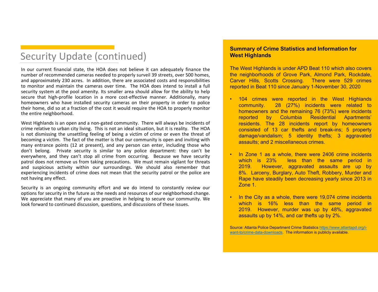### Security Update (continued)

In our current financial state, the HOA does not believe it can adequately finance the number of recommended cameras needed to properly surveil 39 streets, over 500 homes, and approximately 230 acres. In addition, there are associated costs and responsibilities to monitor and maintain the cameras over time. The HOA does intend to install <sup>a</sup> full security system at the pool amenity. Its smaller area should allow for the ability to help secure that high-profile location in a more cost-effective manner. Additionally, many homeowners who have installed security cameras on their property in order to police their home, did so at <sup>a</sup> fraction of the cost it would require the HOA to properly monitor the entire neighborhood.

West Highlands is an open and a non-gated community. There will always be incidents of crime relative to urban city living. This is not an ideal situation, but it is reality. The HOA is not dismissing the unsettling feeling of being <sup>a</sup> victim of crime or even the threat of becoming <sup>a</sup> victim. The fact of the matter is that our community is open and inviting with many entrance points (12 at present), and any person can enter, including those who don't belong. Private security is similar to any police department: they can't be everywhere, and they can't stop all crime from occurring. Because we have security patrol does not remove us from taking precautions. We must remain vigilant for threats and suspicious activity within our surroundings. We should also remember that experiencing incidents of crime does not mean that the security patrol or the police are not having any effect.

Security is an ongoing community effort and we do intend to constantly review our options for security in the future as the needs and resources of our neighborhood change. We appreciate that many of you are proactive in helping to secure our community. We look forward to continued discussion, questions, and discussions of these issues.

#### **Summary of Crime Statistics and Information for West Highlands**

The West Highlands is under APD Beat 110 which also covers the neighborhoods of Grove Park, Almond Park, Rockdale, Carver Hills, Scotts Crossing. There were 529 crimes reported in Beat 110 since January 1-November 30, 2020

- • 104 crimes were reported in the West Highlands community. 28 (27%) incidents were related to homeowners and the remaining 76 (73%) were incidents reported by Columbia Residential Apartments' residents. The 28 incidents report by homeowners consisted of 13 car thefts and break-ins; 5 property damage/vandalism; 5 identity thefts; 3 aggravated assaults; and 2 miscellaneous crimes.
- • In Zone 1 as <sup>a</sup> whole, there were 2406 crime incidents which is 23% less than the same period in 2019. However, aggravated assaults are up by 8%. Larceny, Burglary, Auto Theft, Robbery, Murder and Rape have steadily been decreasing yearly since 2013 in Zone 1.
- •In the City as a whole, there were 19,074 crime incidents which is 16% less than the same period in 2019. However, murder was up by 48%, aggravated assaults up by 14%, and car thefts up by 2%.

Source: Atlanta Police Department Crime Statistics https://www.atlantapd.org/iwant-to/crime-data-downloads. The information is publicly available.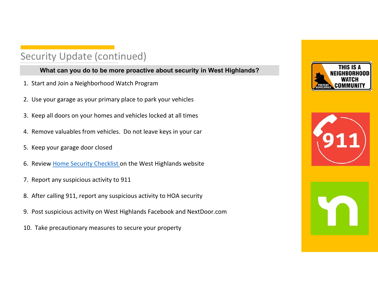## Security Update (continued)

### **What can you do to be more proactive about security in West Highlands?**

- 1. Start and Join a Neighborhood Watch Program
- 2. Use your garage as your primary place to park your vehicles
- 3. Keep all doors on your homes and vehicles locked at all times
- 4. Remove valuables from vehicles. Do not leave keys in your car
- 5. Keep your garage door closed
- 6. Review <u>Home Security Checklist o</u>n the West Highlands website
- 7. Report any suspicious activity to 911
- 8. After calling 911, report any suspicious activity to HOA security
- 9. Post suspicious activity on West Highlands Facebook and NextDoor.com
- 10. Take precautionary measures to secure your property





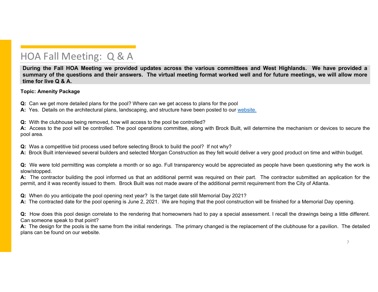During the Fall HOA Meeting we provided updates across the various committees and West Highlands. We have provided a summary of the questions and their answers. The virtual meeting format worked well and for future meetings, we will allow more **time for live Q & A.**

#### **Topic: Amenity Package**

**Q:** Can we get more detailed plans for the pool? Where can we get access to plans for the pool

**A:** Yes. Details on the architectural plans, landscaping, and structure have been posted to our website.

**Q:** With the clubhouse being removed, how will access to the pool be controlled?

**A:** Access to the pool will be controlled. The pool operations committee, along with Brock Built, will determine the mechanism or devices to secure the pool area.

**Q:** Was <sup>a</sup> competitive bid process used before selecting Brock to build the pool? If not why?

**A:** Brock Built interviewed several builders and selected Morgan Construction as they felt would deliver <sup>a</sup> very good product on time and within budget.

**Q:** We were told permitting was complete <sup>a</sup> month or so ago. Full transparency would be appreciated as people have been questioning why the work is slow/stopped.

**A:** The contractor building the pool informed us that an additional permit was required on their part. The contractor submitted an application for the permit, and it was recently issued to them. Brock Built was not made aware of the additional permit requirement from the City of Atlanta.

**Q:** When do you anticipate the pool opening next year? Is the target date still Memorial Day 2021?

**A:** The contracted date for the pool opening is June 2, 2021. We are hoping that the pool construction will be finished for <sup>a</sup> Memorial Day opening.

**Q:** How does this pool design correlate to the rendering that homeowners had to pay <sup>a</sup> special assessment. I recall the drawings being <sup>a</sup> little different. Can someone speak to that point?

**A:** The design for the pools is the same from the initial renderings. The primary changed is the replacement of the clubhouse for <sup>a</sup> pavilion. The detailed plans can be found on our website.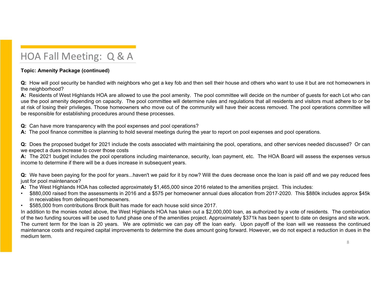#### **Topic: Amenity Package (continued)**

**Q:** How will pool security be handled with neighbors who get <sup>a</sup> key fob and then sell their house and others who want to use it but are not homeowners in the neighborhood?

**A:** Residents of West Highlands HOA are allowed to use the pool amenity. The pool committee will decide on the number of guests for each Lot who can use the pool amenity depending on capacity. The pool committee will determine rules and regulations that all residents and visitors must adhere to or be at risk of losing their privileges. Those homeowners who move out of the community will have their access removed. The pool operations committee will be responsible for establishing procedures around these processes.

**Q:** Can have more transparency with the pool expenses and pool operations?

**A:** The pool finance committee is planning to hold several meetings during the year to report on pool expenses and pool operations.

**Q:** Does the proposed budget for 2021 include the costs associated with maintaining the pool, operations, and other services needed discussed? Or can we expect <sup>a</sup> dues increase to cover those costs

**A:** The 2021 budget includes the pool operations including maintenance, security, loan payment, etc. The HOA Board will assess the expenses versus income to determine if there will be <sup>a</sup> dues increase in subsequent years.

**Q:** We have been paying for the pool for years...haven't we paid for it by now? Will the dues decrease once the loan is paid off and we pay reduced fees just for pool maintenance?

**A:** The West Highlands HOA has collected approximately \$1,465,000 since 2016 related to the amenities project. This includes:

- • \$880,000 raised from the assessments in 2016 and <sup>a</sup> \$575 per homeowner annual dues allocation from 2017-2020. This \$880k includes approx \$45k in receivables from delinquent homeowners.
- •\$585,000 from contributions Brock Built has made for each house sold since 2017.

In addition to the monies noted above, the West Highlands HOA has taken out <sup>a</sup> \$2,000,000 loan, as authorized by <sup>a</sup> vote of residents. The combination of the two funding sources will be used to fund phase one of the amenities project. Approximately \$371k has been spent to date on designs and site work. The current term for the loan is 20 years. We are optimistic we can pay off the loan early. Upon payoff of the loan will we reassess the continued maintenance costs and required capital improvements to determine the dues amount going forward. However, we do not expect <sup>a</sup> reduction in dues in the medium term.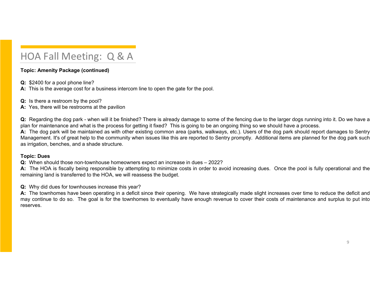#### **Topic: Amenity Package (continued)**

**Q:** \$2400 for <sup>a</sup> pool phone line?

**A:** This is the average cost for <sup>a</sup> business intercom line to open the gate for the pool.

**Q:** Is there <sup>a</sup> restroom by the pool?

**A:** Yes, there will be restrooms at the pavilion

**Q:** Regarding the dog park - when will it be finished? There is already damage to some of the fencing due to the larger dogs running into it. Do we have <sup>a</sup> plan for maintenance and what is the process for getting it fixed? This is going to be an ongoing thing so we should have <sup>a</sup> process.

**A:** The dog park will be maintained as with other existing common area (parks, walkways, etc.). Users of the dog park should report damages to Sentry Management. It's of great help to the community when issues like this are reported to Sentry promptly. Additional items are planned for the dog park such as irrigation, benches, and <sup>a</sup> shade structure.

#### **Topic: Dues**

**Q:** When should those non-townhouse homeowners expect an increase in dues – 2022?

**A:** The HOA is fiscally being responsible by attempting to minimize costs in order to avoid increasing dues. Once the pool is fully operational and the remaining land is transferred to the HOA, we will reassess the budget.

**Q:** Why did dues for townhouses increase this year?

**A:** The townhomes have been operating in a deficit since their opening. We have strategically made slight increases over time to reduce the deficit and may continue to do so. The goal is for the townhomes to eventually have enough revenue to cover their costs of maintenance and surplus to put into reserves.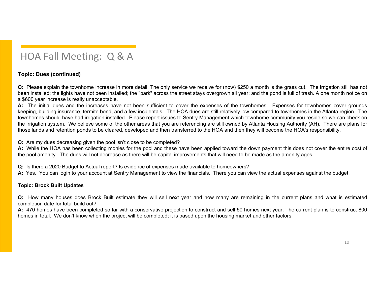### **Topic: Dues (continued)**

**Q:** Please explain the townhome increase in more detail. The only service we receive for (now) \$250 <sup>a</sup> month is the grass cut. The irrigation still has not been installed; the lights have not been installed; the "park" across the street stays overgrown all year; and the pond is full of trash. A one month notice on <sup>a</sup> \$600 year increase is really unacceptable.

**A:** The initial dues and the increases have not been sufficient to cover the expenses of the townhomes. Expenses for townhomes cover grounds keeping, building insurance, termite bond, and <sup>a</sup> few incidentals. The HOA dues are still relatively low compared to townhomes in the Atlanta region. The townhomes should have had irrigation installed. Please report issues to Sentry Management which townhome community you reside so we can check on the irrigation system. We believe some of the other areas that you are referencing are still owned by Atlanta Housing Authority (AH). There are plans for those lands and retention ponds to be cleared, developed and then transferred to the HOA and then they will become the HOA's responsibility.

**Q:** Are my dues decreasing given the pool isn't close to be completed?

**A:** While the HOA has been collecting monies for the pool and these have been applied toward the down payment this does not cover the entire cost of the pool amenity. The dues will not decrease as there will be capital improvements that will need to be made as the amenity ages.

**Q:** Is there <sup>a</sup> 2020 Budget to Actual report? Is evidence of expenses made available to homeowners?

**A:** Yes. You can login to your account at Sentry Management to view the financials. There you can view the actual expenses against the budget.

#### **Topic: Brock Built Updates**

**Q:** How many houses does Brock Built estimate they will sell next year and how many are remaining in the current plans and what is estimated completion date for total build out?

**A:** 470 homes have been completed so far with <sup>a</sup> conservative projection to construct and sell 50 homes next year. The current plan is to construct 800 homes in total. We don't know when the project will be completed; it is based upon the housing market and other factors.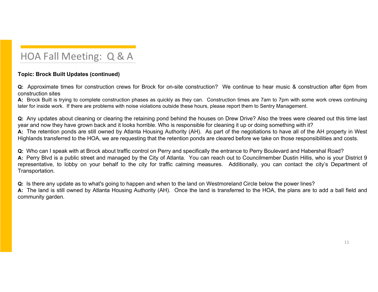### **Topic: Brock Built Updates (continued)**

**Q:** Approximate times for construction crews for Brock for on-site construction? We continue to hear music & construction after 6pm from construction sites

**A:** Brock Built is trying to complete construction phases as quickly as they can. Construction times are 7am to 7pm with some work crews continuing later for inside work. If there are problems with noise violations outside these hours, please report them to Sentry Management.

**Q:** Any updates about cleaning or clearing the retaining pond behind the houses on Drew Drive? Also the trees were cleared out this time last year and now they have grown back and it looks horrible. Who is responsible for cleaning it up or doing something with it? **A:** The retention ponds are still owned by Atlanta Housing Authority (AH). As part of the negotiations to have all of the AH property in West Highlands transferred to the HOA, we are requesting that the retention ponds are cleared before we take on those responsibilities and costs.

**Q:** Who can I speak with at Brock about traffic control on Perry and specifically the entrance to Perry Boulevard and Habershal Road? **A:** Perry Blvd is <sup>a</sup> public street and managed by the City of Atlanta. You can reach out to Councilmember Dustin Hillis, who is your District 9 representative, to lobby on your behalf to the city for traffic calming measures. Additionally, you can contact the city's Department of Transportation.

**Q:** Is there any update as to what's going to happen and when to the land on Westmoreland Circle below the power lines?

**A:** The land is still owned by Atlanta Housing Authority (AH). Once the land is transferred to the HOA, the plans are to add <sup>a</sup> ball field and community garden.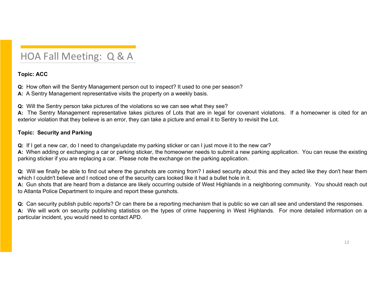#### **Topic: ACC**

**Q:** How often will the Sentry Management person out to inspect? It used to one per season?

**A:** A Sentry Management representative visits the property on <sup>a</sup> weekly basis.

**Q:** Will the Sentry person take pictures of the violations so we can see what they see?

**A:** The Sentry Management representative takes pictures of Lots that are in legal for covenant violations. If <sup>a</sup> homeowner is cited for an exterior violation that they believe is an error, they can take <sup>a</sup> picture and email it to Sentry to revisit the Lot.

#### **Topic: Security and Parking**

**Q:** If I get <sup>a</sup> new car, do I need to change/update my parking sticker or can I just move it to the new car?

**A**: When adding or exchanging a car or parking sticker, the homeowner needs to submit a new parking application. You can reuse the existing parking sticker if you are replacing <sup>a</sup> car. Please note the exchange on the parking application.

**Q:** Will we finally be able to find out where the gunshots are coming from? I asked security about this and they acted like they don't hear them which I couldn't believe and I noticed one of the security cars looked like it had <sup>a</sup> bullet hole in it.

**A:** Gun shots that are heard from <sup>a</sup> distance are likely occurring outside of West Highlands in <sup>a</sup> neighboring community. You should reach out to Atlanta Police Department to inquire and report these gunshots.

**Q:** Can security publish public reports? Or can there be <sup>a</sup> reporting mechanism that is public so we can all see and understand the responses. **A:** We will work on security publishing statistics on the types of crime happening in West Highlands. For more detailed information on <sup>a</sup> particular incident, you would need to contact APD.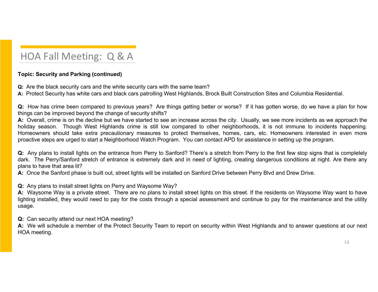### **Topic: Security and Parking (continued)**

**Q:** Are the black security cars and the white security cars with the same team?

**A:** Protect Security has white cars and black cars patrolling West Highlands, Brock Built Construction Sites and Columbia Residential.

**Q:** How has crime been compared to previous years? Are things getting better or worse? If it has gotten worse, do we have <sup>a</sup> plan for how things can be improved beyond the change of security shifts?

**A:** Overall, crime is on the decline but we have started to see an increase across the city. Usually, we see more incidents as we approach the holiday season. Though West Highlands crime is still low compared to other neighborhoods, it is not immune to incidents happening. Homeowners should take extra precautionary measures to protect themselves, homes, cars, etc. Homeowners interested in even more proactive steps are urged to start <sup>a</sup> Neighborhood Watch Program. You can contact APD for assistance in setting up the program.

**Q:** Any plans to install lights on the entrance from Perry to Sanford? There's <sup>a</sup> stretch from Perry to the first few stop signs that is completely dark. The Perry/Sanford stretch of entrance is extremely dark and in need of lighting, creating dangerous conditions at night. Are there any plans to have that area lit?

**A:** Once the Sanford phase is built out, street lights will be installed on Sanford Drive between Perry Blvd and Drew Drive.

#### **Q:** Any plans to install street lights on Perry and Waysome Way?

**A:** Waysome Way is a private street. There are no plans to install street lights on this street. If the residents on Waysome Way want to have lighting installed, they would need to pay for the costs through <sup>a</sup> special assessment and continue to pay for the maintenance and the utility usage.

**Q:** Can security attend our next HOA meeting?

**A:** We will schedule <sup>a</sup> member of the Protect Security Team to report on security within West Highlands and to answer questions at our next HOA meeting.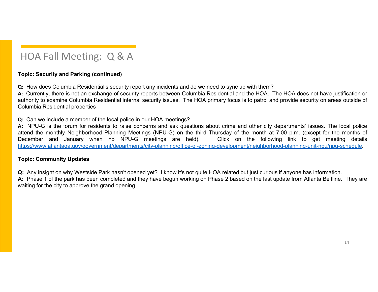### **Topic: Security and Parking (continued)**

**Q:** How does Columbia Residential's security report any incidents and do we need to sync up with them?

**A:** Currently, there is not an exchange of security reports between Columbia Residential and the HOA. The HOA does not have justification or authority to examine Columbia Residential internal security issues. The HOA primary focus is to patrol and provide security on areas outside of Columbia Residential properties

**Q:** Can we include <sup>a</sup> member of the local police in our HOA meetings?

**A:** NPU-G is the forum for residents to raise concerns and ask questions about crime and other city departments' issues. The local police attend the monthly Neighborhood Planning Meetings (NPU-G) on the third Thursday of the month at 7:00 p.m. (except for the months of December and January when no NPU-G meetings are held). Click on the following link to get meeting details https://www.atlantaga.gov/government/departments/city-planning/office-of-zoning-development/neighborhood-planning-unit-npu/npu-schedule.

#### **Topic: Community Updates**

**Q:** Any insight on why Westside Park hasn't opened yet? I know it's not quite HOA related but just curious if anyone has information.

**A:** Phase 1 of the park has been completed and they have begun working on Phase 2 based on the last update from Atlanta Beltline. They are waiting for the city to approve the grand opening.